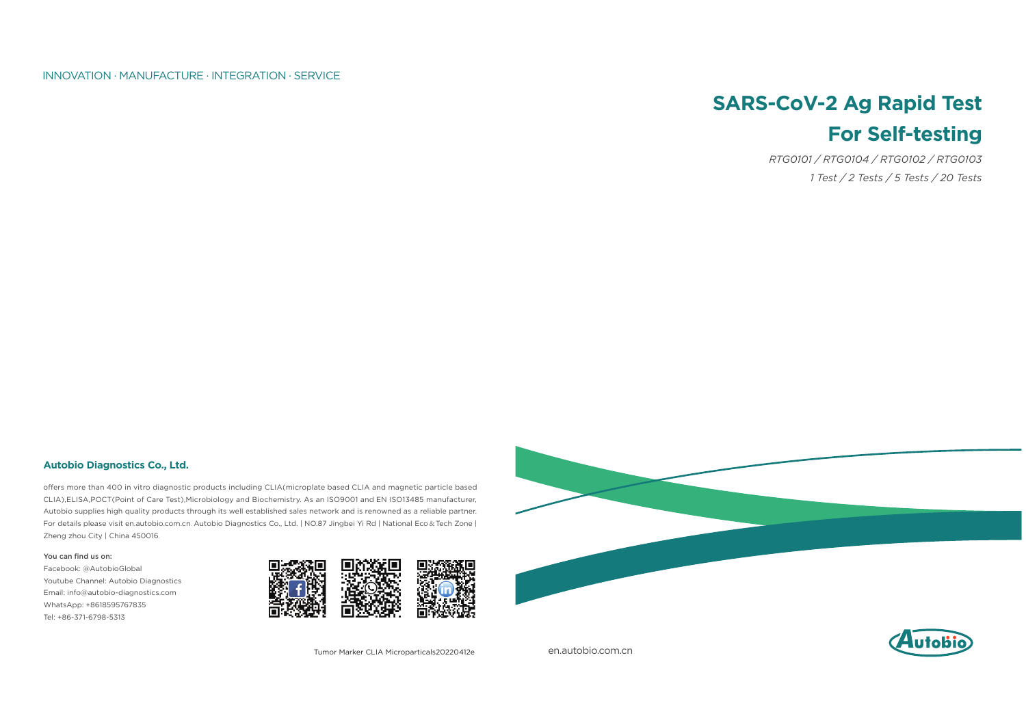en.autobio.com.cn



#### INNOVATION · MANUFACTURE · INTEGRATION · SERVICE

Tumor Marker CLIA Microparticals20220412e

#### **Autobio Diagnostics Co., Ltd.**

offers more than 400 in vitro diagnostic products including CLIA(microplate based CLIA and magnetic particle based CLIA),ELISA,POCT(Point of Care Test),Microbiology and Biochemistry. As an ISO9001 and EN ISO13485 manufacturer, Autobio supplies high quality products through its well established sales network and is renowned as a reliable partner. For details please visit en.autobio.com.cn. Autobio Diagnostics Co., Ltd. | NO.87 Jingbei Yi Rd | National Eco & Tech Zone | Zheng zhou City | China 450016.

#### You can find us on:

Facebook: @AutobioGlobal Youtube Channel: Autobio Diagnostics Email: info@autobio-diagnostics.com WhatsApp: +8618595767835 Tel: +86-371-6798-5313



# **SARS-CoV-2 Ag Rapid Test For Self-testing**

*RTG0101 / RTG0104 / RTG0102 / RTG0103 1 Test / 2 Tests / 5 Tests / 20 Tests*